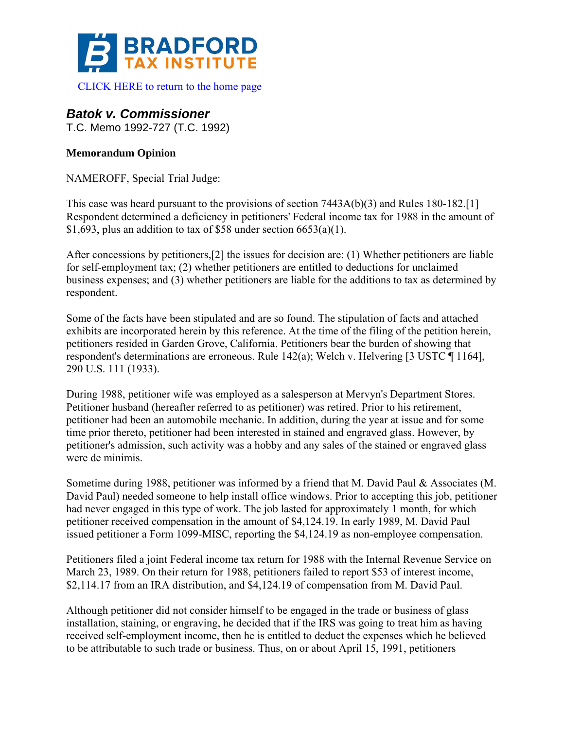

[CLICK HERE to return to the home page](http://bradfordtaxinstitute.com/index1.aspx) 

# *Batok v. Commissioner*

T.C. Memo 1992-727 (T.C. 1992)

## **Memorandum Opinion**

NAMEROFF, Special Trial Judge:

This case was heard pursuant to the provisions of section 7443A(b)(3) and Rules 180-182.[1] Respondent determined a deficiency in petitioners' Federal income tax for 1988 in the amount of \$1,693, plus an addition to tax of \$58 under section  $6653(a)(1)$ .

After concessions by petitioners,[2] the issues for decision are: (1) Whether petitioners are liable for self-employment tax; (2) whether petitioners are entitled to deductions for unclaimed business expenses; and (3) whether petitioners are liable for the additions to tax as determined by respondent.

Some of the facts have been stipulated and are so found. The stipulation of facts and attached exhibits are incorporated herein by this reference. At the time of the filing of the petition herein, petitioners resided in Garden Grove, California. Petitioners bear the burden of showing that respondent's determinations are erroneous. Rule 142(a); Welch v. Helvering [3 USTC ¶ 1164], 290 U.S. 111 (1933).

During 1988, petitioner wife was employed as a salesperson at Mervyn's Department Stores. Petitioner husband (hereafter referred to as petitioner) was retired. Prior to his retirement, petitioner had been an automobile mechanic. In addition, during the year at issue and for some time prior thereto, petitioner had been interested in stained and engraved glass. However, by petitioner's admission, such activity was a hobby and any sales of the stained or engraved glass were de minimis.

Sometime during 1988, petitioner was informed by a friend that M. David Paul & Associates (M. David Paul) needed someone to help install office windows. Prior to accepting this job, petitioner had never engaged in this type of work. The job lasted for approximately 1 month, for which petitioner received compensation in the amount of \$4,124.19. In early 1989, M. David Paul issued petitioner a Form 1099-MISC, reporting the \$4,124.19 as non-employee compensation.

Petitioners filed a joint Federal income tax return for 1988 with the Internal Revenue Service on March 23, 1989. On their return for 1988, petitioners failed to report \$53 of interest income, \$2,114.17 from an IRA distribution, and \$4,124.19 of compensation from M. David Paul.

Although petitioner did not consider himself to be engaged in the trade or business of glass installation, staining, or engraving, he decided that if the IRS was going to treat him as having received self-employment income, then he is entitled to deduct the expenses which he believed to be attributable to such trade or business. Thus, on or about April 15, 1991, petitioners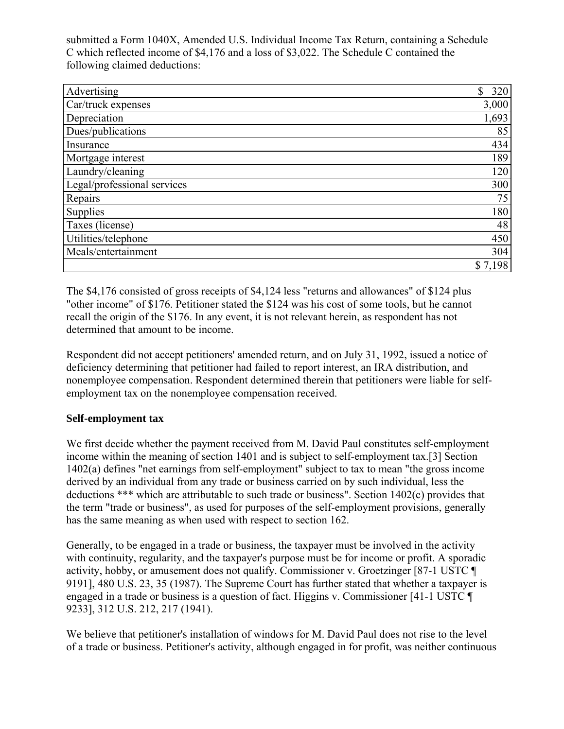submitted a Form 1040X, Amended U.S. Individual Income Tax Return, containing a Schedule C which reflected income of \$4,176 and a loss of \$3,022. The Schedule C contained the following claimed deductions:

| Advertising                 | \$<br>320 |
|-----------------------------|-----------|
| Car/truck expenses          | 3,000     |
| Depreciation                | 1,693     |
| Dues/publications           | 85        |
| Insurance                   | 434       |
| Mortgage interest           | 189       |
| Laundry/cleaning            | 120       |
| Legal/professional services | 300       |
| Repairs                     | 75        |
| Supplies                    | 180       |
| Taxes (license)             | 48        |
| Utilities/telephone         | 450       |
| Meals/entertainment         | 304       |
|                             | \$7,198   |

The \$4,176 consisted of gross receipts of \$4,124 less "returns and allowances" of \$124 plus "other income" of \$176. Petitioner stated the \$124 was his cost of some tools, but he cannot recall the origin of the \$176. In any event, it is not relevant herein, as respondent has not determined that amount to be income.

Respondent did not accept petitioners' amended return, and on July 31, 1992, issued a notice of deficiency determining that petitioner had failed to report interest, an IRA distribution, and nonemployee compensation. Respondent determined therein that petitioners were liable for selfemployment tax on the nonemployee compensation received.

### **Self-employment tax**

We first decide whether the payment received from M. David Paul constitutes self-employment income within the meaning of section 1401 and is subject to self-employment tax.[3] Section 1402(a) defines "net earnings from self-employment" subject to tax to mean "the gross income derived by an individual from any trade or business carried on by such individual, less the deductions \*\*\* which are attributable to such trade or business". Section 1402(c) provides that the term "trade or business", as used for purposes of the self-employment provisions, generally has the same meaning as when used with respect to section 162.

Generally, to be engaged in a trade or business, the taxpayer must be involved in the activity with continuity, regularity, and the taxpayer's purpose must be for income or profit. A sporadic activity, hobby, or amusement does not qualify. Commissioner v. Groetzinger [87-1 USTC ¶ 9191], 480 U.S. 23, 35 (1987). The Supreme Court has further stated that whether a taxpayer is engaged in a trade or business is a question of fact. Higgins v. Commissioner [41-1 USTC ¶ 9233], 312 U.S. 212, 217 (1941).

We believe that petitioner's installation of windows for M. David Paul does not rise to the level of a trade or business. Petitioner's activity, although engaged in for profit, was neither continuous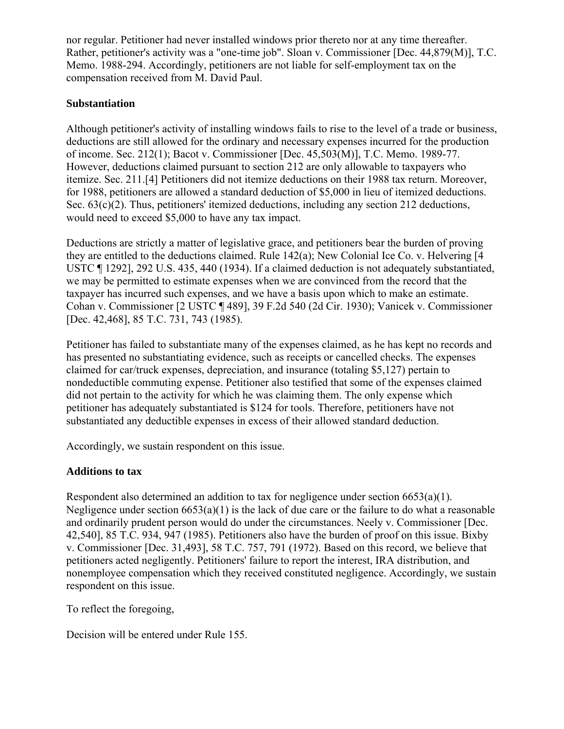nor regular. Petitioner had never installed windows prior thereto nor at any time thereafter. Rather, petitioner's activity was a "one-time job". Sloan v. Commissioner [Dec. 44,879(M)], T.C. Memo. 1988-294. Accordingly, petitioners are not liable for self-employment tax on the compensation received from M. David Paul.

#### **Substantiation**

Although petitioner's activity of installing windows fails to rise to the level of a trade or business, deductions are still allowed for the ordinary and necessary expenses incurred for the production of income. Sec. 212(1); Bacot v. Commissioner [Dec. 45,503(M)], T.C. Memo. 1989-77. However, deductions claimed pursuant to section 212 are only allowable to taxpayers who itemize. Sec. 211.[4] Petitioners did not itemize deductions on their 1988 tax return. Moreover, for 1988, petitioners are allowed a standard deduction of \$5,000 in lieu of itemized deductions. Sec.  $63(c)(2)$ . Thus, petitioners' itemized deductions, including any section 212 deductions, would need to exceed \$5,000 to have any tax impact.

Deductions are strictly a matter of legislative grace, and petitioners bear the burden of proving they are entitled to the deductions claimed. Rule 142(a); New Colonial Ice Co. v. Helvering [4 USTC ¶ 1292], 292 U.S. 435, 440 (1934). If a claimed deduction is not adequately substantiated, we may be permitted to estimate expenses when we are convinced from the record that the taxpayer has incurred such expenses, and we have a basis upon which to make an estimate. Cohan v. Commissioner [2 USTC ¶ 489], 39 F.2d 540 (2d Cir. 1930); Vanicek v. Commissioner [Dec. 42,468], 85 T.C. 731, 743 (1985).

Petitioner has failed to substantiate many of the expenses claimed, as he has kept no records and has presented no substantiating evidence, such as receipts or cancelled checks. The expenses claimed for car/truck expenses, depreciation, and insurance (totaling \$5,127) pertain to nondeductible commuting expense. Petitioner also testified that some of the expenses claimed did not pertain to the activity for which he was claiming them. The only expense which petitioner has adequately substantiated is \$124 for tools. Therefore, petitioners have not substantiated any deductible expenses in excess of their allowed standard deduction.

Accordingly, we sustain respondent on this issue.

### **Additions to tax**

Respondent also determined an addition to tax for negligence under section 6653(a)(1). Negligence under section  $6653(a)(1)$  is the lack of due care or the failure to do what a reasonable and ordinarily prudent person would do under the circumstances. Neely v. Commissioner [Dec. 42,540], 85 T.C. 934, 947 (1985). Petitioners also have the burden of proof on this issue. Bixby v. Commissioner [Dec. 31,493], 58 T.C. 757, 791 (1972). Based on this record, we believe that petitioners acted negligently. Petitioners' failure to report the interest, IRA distribution, and nonemployee compensation which they received constituted negligence. Accordingly, we sustain respondent on this issue.

To reflect the foregoing,

Decision will be entered under Rule 155.